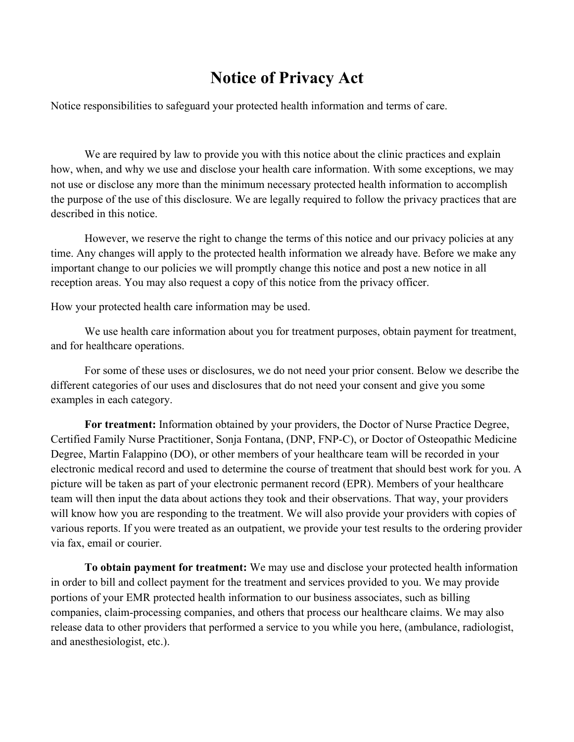## **Notice of Privacy Act**

Notice responsibilities to safeguard your protected health information and terms of care.

We are required by law to provide you with this notice about the clinic practices and explain how, when, and why we use and disclose your health care information. With some exceptions, we may not use or disclose any more than the minimum necessary protected health information to accomplish the purpose of the use of this disclosure. We are legally required to follow the privacy practices that are described in this notice.

However, we reserve the right to change the terms of this notice and our privacy policies at any time. Any changes will apply to the protected health information we already have. Before we make any important change to our policies we will promptly change this notice and post a new notice in all reception areas. You may also request a copy of this notice from the privacy officer.

How your protected health care information may be used.

We use health care information about you for treatment purposes, obtain payment for treatment, and for healthcare operations.

For some of these uses or disclosures, we do not need your prior consent. Below we describe the different categories of our uses and disclosures that do not need your consent and give you some examples in each category.

**For treatment:** Information obtained by your providers, the Doctor of Nurse Practice Degree, Certified Family Nurse Practitioner, Sonja Fontana, (DNP, FNP-C), or Doctor of Osteopathic Medicine Degree, Martin Falappino (DO), or other members of your healthcare team will be recorded in your electronic medical record and used to determine the course of treatment that should best work for you. A picture will be taken as part of your electronic permanent record (EPR). Members of your healthcare team will then input the data about actions they took and their observations. That way, your providers will know how you are responding to the treatment. We will also provide your providers with copies of various reports. If you were treated as an outpatient, we provide your test results to the ordering provider via fax, email or courier.

**To obtain payment for treatment:** We may use and disclose your protected health information in order to bill and collect payment for the treatment and services provided to you. We may provide portions of your EMR protected health information to our business associates, such as billing companies, claim-processing companies, and others that process our healthcare claims. We may also release data to other providers that performed a service to you while you here, (ambulance, radiologist, and anesthesiologist, etc.).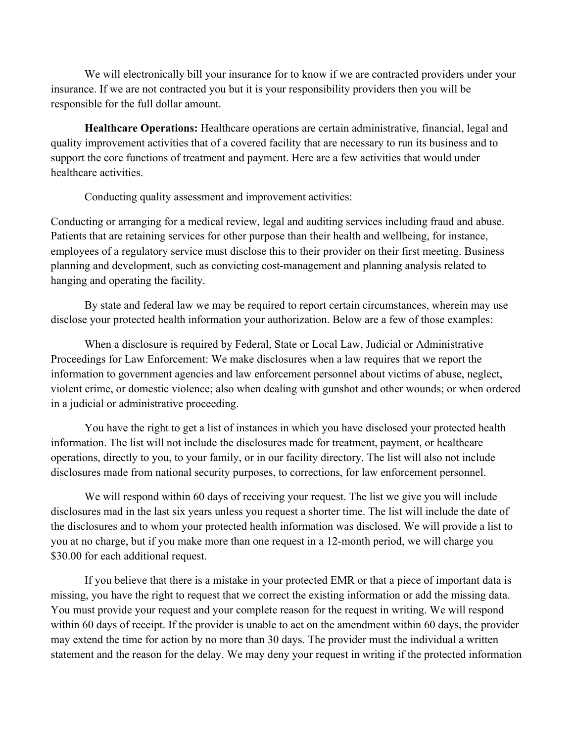We will electronically bill your insurance for to know if we are contracted providers under your insurance. If we are not contracted you but it is your responsibility providers then you will be responsible for the full dollar amount.

**Healthcare Operations:** Healthcare operations are certain administrative, financial, legal and quality improvement activities that of a covered facility that are necessary to run its business and to support the core functions of treatment and payment. Here are a few activities that would under healthcare activities.

Conducting quality assessment and improvement activities:

Conducting or arranging for a medical review, legal and auditing services including fraud and abuse. Patients that are retaining services for other purpose than their health and wellbeing, for instance, employees of a regulatory service must disclose this to their provider on their first meeting. Business planning and development, such as convicting cost-management and planning analysis related to hanging and operating the facility.

By state and federal law we may be required to report certain circumstances, wherein may use disclose your protected health information your authorization. Below are a few of those examples:

When a disclosure is required by Federal, State or Local Law, Judicial or Administrative Proceedings for Law Enforcement: We make disclosures when a law requires that we report the information to government agencies and law enforcement personnel about victims of abuse, neglect, violent crime, or domestic violence; also when dealing with gunshot and other wounds; or when ordered in a judicial or administrative proceeding.

You have the right to get a list of instances in which you have disclosed your protected health information. The list will not include the disclosures made for treatment, payment, or healthcare operations, directly to you, to your family, or in our facility directory. The list will also not include disclosures made from national security purposes, to corrections, for law enforcement personnel.

We will respond within 60 days of receiving your request. The list we give you will include disclosures mad in the last six years unless you request a shorter time. The list will include the date of the disclosures and to whom your protected health information was disclosed. We will provide a list to you at no charge, but if you make more than one request in a 12-month period, we will charge you \$30.00 for each additional request.

If you believe that there is a mistake in your protected EMR or that a piece of important data is missing, you have the right to request that we correct the existing information or add the missing data. You must provide your request and your complete reason for the request in writing. We will respond within 60 days of receipt. If the provider is unable to act on the amendment within 60 days, the provider may extend the time for action by no more than 30 days. The provider must the individual a written statement and the reason for the delay. We may deny your request in writing if the protected information